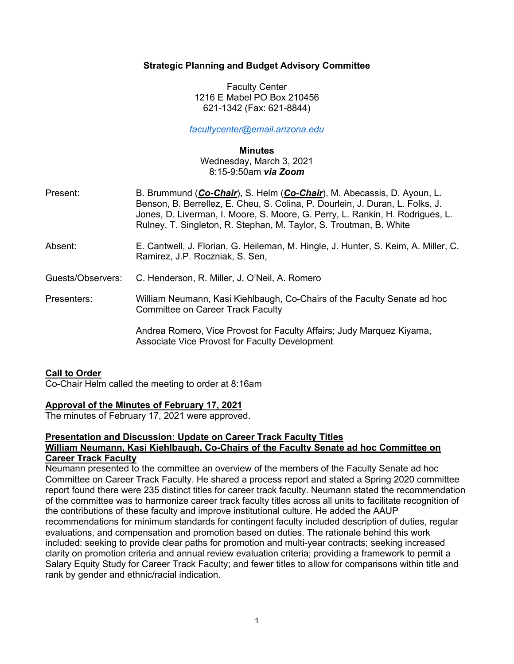#### **Strategic Planning and Budget Advisory Committee**

Faculty Center 1216 E Mabel PO Box 210456 621-1342 (Fax: 621-8844)

*facultycenter@email.arizona.edu*

**Minutes**

Wednesday, March 3, 2021 8:15-9:50am *via Zoom*

- Present: B. Brummund (*Co-Chair*), S. Helm (*Co-Chair*), M. Abecassis, D. Ayoun, L. Benson, B. Berrellez, E. Cheu, S. Colina, P. Dourlein, J. Duran, L. Folks, J. Jones, D. Liverman, I. Moore, S. Moore, G. Perry, L. Rankin, H. Rodrigues, L. Rulney, T. Singleton, R. Stephan, M. Taylor, S. Troutman, B. White
- Absent: E. Cantwell, J. Florian, G. Heileman, M. Hingle, J. Hunter, S. Keim, A. Miller, C. Ramirez, J.P. Roczniak, S. Sen,

Guests/Observers: C. Henderson, R. Miller, J. O'Neil, A. Romero

Presenters: William Neumann, Kasi Kiehlbaugh, Co-Chairs of the Faculty Senate ad hoc Committee on Career Track Faculty

> Andrea Romero, Vice Provost for Faculty Affairs; Judy Marquez Kiyama, Associate Vice Provost for Faculty Development

### **Call to Order**

Co-Chair Helm called the meeting to order at 8:16am

### **Approval of the Minutes of February 17, 2021**

The minutes of February 17, 2021 were approved.

## **Presentation and Discussion: Update on Career Track Faculty Titles William Neumann, Kasi Kiehlbaugh, Co-Chairs of the Faculty Senate ad hoc Committee on**

#### **Career Track Faculty**

Neumann presented to the committee an overview of the members of the Faculty Senate ad hoc Committee on Career Track Faculty. He shared a process report and stated a Spring 2020 committee report found there were 235 distinct titles for career track faculty. Neumann stated the recommendation of the committee was to harmonize career track faculty titles across all units to facilitate recognition of the contributions of these faculty and improve institutional culture. He added the AAUP recommendations for minimum standards for contingent faculty included description of duties, regular evaluations, and compensation and promotion based on duties. The rationale behind this work included: seeking to provide clear paths for promotion and multi-year contracts; seeking increased clarity on promotion criteria and annual review evaluation criteria; providing a framework to permit a Salary Equity Study for Career Track Faculty; and fewer titles to allow for comparisons within title and rank by gender and ethnic/racial indication.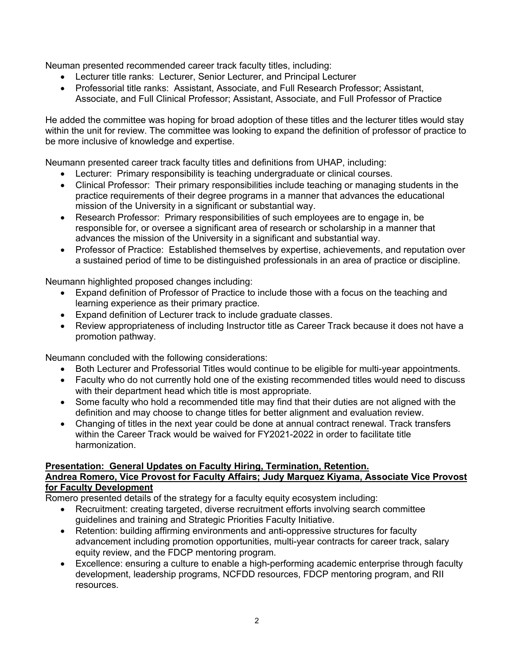Neuman presented recommended career track faculty titles, including:

- Lecturer title ranks: Lecturer, Senior Lecturer, and Principal Lecturer
- Professorial title ranks: Assistant, Associate, and Full Research Professor; Assistant, Associate, and Full Clinical Professor; Assistant, Associate, and Full Professor of Practice

He added the committee was hoping for broad adoption of these titles and the lecturer titles would stay within the unit for review. The committee was looking to expand the definition of professor of practice to be more inclusive of knowledge and expertise.

Neumann presented career track faculty titles and definitions from UHAP, including:

- Lecturer: Primary responsibility is teaching undergraduate or clinical courses.
- Clinical Professor: Their primary responsibilities include teaching or managing students in the practice requirements of their degree programs in a manner that advances the educational mission of the University in a significant or substantial way.
- Research Professor: Primary responsibilities of such employees are to engage in, be responsible for, or oversee a significant area of research or scholarship in a manner that advances the mission of the University in a significant and substantial way.
- Professor of Practice: Established themselves by expertise, achievements, and reputation over a sustained period of time to be distinguished professionals in an area of practice or discipline.

Neumann highlighted proposed changes including:

- Expand definition of Professor of Practice to include those with a focus on the teaching and learning experience as their primary practice.
- Expand definition of Lecturer track to include graduate classes.
- Review appropriateness of including Instructor title as Career Track because it does not have a promotion pathway.

Neumann concluded with the following considerations:

- Both Lecturer and Professorial Titles would continue to be eligible for multi-year appointments.
- Faculty who do not currently hold one of the existing recommended titles would need to discuss with their department head which title is most appropriate.
- Some faculty who hold a recommended title may find that their duties are not aligned with the definition and may choose to change titles for better alignment and evaluation review.
- Changing of titles in the next year could be done at annual contract renewal. Track transfers within the Career Track would be waived for FY2021-2022 in order to facilitate title harmonization.

# **Presentation: General Updates on Faculty Hiring, Termination, Retention.**

## **Andrea Romero, Vice Provost for Faculty Affairs; Judy Marquez Kiyama, Associate Vice Provost for Faculty Development**

Romero presented details of the strategy for a faculty equity ecosystem including:

- Recruitment: creating targeted, diverse recruitment efforts involving search committee guidelines and training and Strategic Priorities Faculty Initiative.
- Retention: building affirming environments and anti-oppressive structures for faculty advancement including promotion opportunities, multi-year contracts for career track, salary equity review, and the FDCP mentoring program.
- Excellence: ensuring a culture to enable a high-performing academic enterprise through faculty development, leadership programs, NCFDD resources, FDCP mentoring program, and RII resources.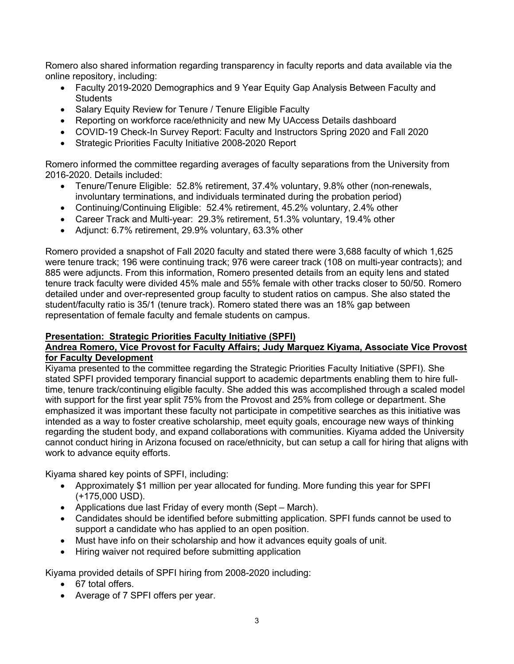Romero also shared information regarding transparency in faculty reports and data available via the online repository, including:

- Faculty 2019-2020 Demographics and 9 Year Equity Gap Analysis Between Faculty and **Students**
- Salary Equity Review for Tenure / Tenure Eligible Faculty
- Reporting on workforce race/ethnicity and new My UAccess Details dashboard
- COVID-19 Check-In Survey Report: Faculty and Instructors Spring 2020 and Fall 2020
- Strategic Priorities Faculty Initiative 2008-2020 Report

Romero informed the committee regarding averages of faculty separations from the University from 2016-2020. Details included:

- Tenure/Tenure Eligible: 52.8% retirement, 37.4% voluntary, 9.8% other (non-renewals, involuntary terminations, and individuals terminated during the probation period)
- Continuing/Continuing Eligible: 52.4% retirement, 45.2% voluntary, 2.4% other
- Career Track and Multi-year: 29.3% retirement, 51.3% voluntary, 19.4% other
- Adjunct: 6.7% retirement, 29.9% voluntary, 63.3% other

Romero provided a snapshot of Fall 2020 faculty and stated there were 3,688 faculty of which 1,625 were tenure track; 196 were continuing track; 976 were career track (108 on multi-year contracts); and 885 were adjuncts. From this information, Romero presented details from an equity lens and stated tenure track faculty were divided 45% male and 55% female with other tracks closer to 50/50. Romero detailed under and over-represented group faculty to student ratios on campus. She also stated the student/faculty ratio is 35/1 (tenure track). Romero stated there was an 18% gap between representation of female faculty and female students on campus.

### **Presentation: Strategic Priorities Faculty Initiative (SPFI)**

### **Andrea Romero, Vice Provost for Faculty Affairs; Judy Marquez Kiyama, Associate Vice Provost for Faculty Development**

Kiyama presented to the committee regarding the Strategic Priorities Faculty Initiative (SPFI). She stated SPFI provided temporary financial support to academic departments enabling them to hire fulltime, tenure track/continuing eligible faculty. She added this was accomplished through a scaled model with support for the first year split 75% from the Provost and 25% from college or department. She emphasized it was important these faculty not participate in competitive searches as this initiative was intended as a way to foster creative scholarship, meet equity goals, encourage new ways of thinking regarding the student body, and expand collaborations with communities. Kiyama added the University cannot conduct hiring in Arizona focused on race/ethnicity, but can setup a call for hiring that aligns with work to advance equity efforts.

Kiyama shared key points of SPFI, including:

- Approximately \$1 million per year allocated for funding. More funding this year for SPFI (+175,000 USD).
- Applications due last Friday of every month (Sept March).
- Candidates should be identified before submitting application. SPFI funds cannot be used to support a candidate who has applied to an open position.
- Must have info on their scholarship and how it advances equity goals of unit.
- Hiring waiver not required before submitting application

Kiyama provided details of SPFI hiring from 2008-2020 including:

- 67 total offers.
- Average of 7 SPFI offers per year.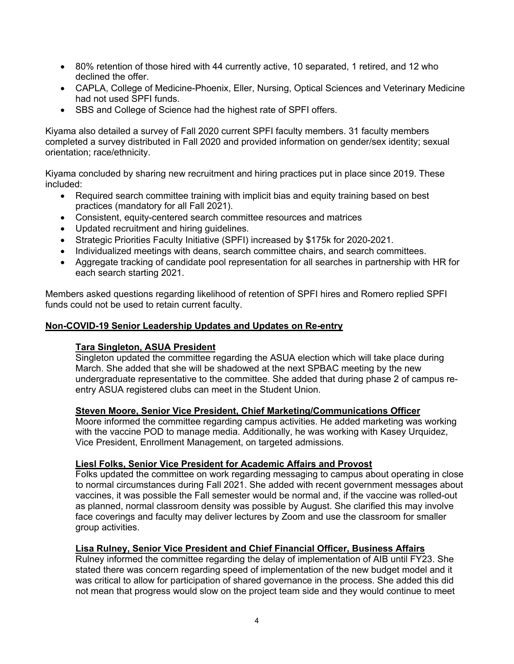- 80% retention of those hired with 44 currently active, 10 separated, 1 retired, and 12 who declined the offer.
- CAPLA, College of Medicine-Phoenix, Eller, Nursing, Optical Sciences and Veterinary Medicine had not used SPFI funds.
- SBS and College of Science had the highest rate of SPFI offers.

Kiyama also detailed a survey of Fall 2020 current SPFI faculty members. 31 faculty members completed a survey distributed in Fall 2020 and provided information on gender/sex identity; sexual orientation; race/ethnicity.

Kiyama concluded by sharing new recruitment and hiring practices put in place since 2019. These included:

- Required search committee training with implicit bias and equity training based on best practices (mandatory for all Fall 2021).
- Consistent, equity-centered search committee resources and matrices
- Updated recruitment and hiring guidelines.
- Strategic Priorities Faculty Initiative (SPFI) increased by \$175k for 2020-2021.
- Individualized meetings with deans, search committee chairs, and search committees.
- Aggregate tracking of candidate pool representation for all searches in partnership with HR for each search starting 2021.

Members asked questions regarding likelihood of retention of SPFI hires and Romero replied SPFI funds could not be used to retain current faculty.

### **Non-COVID-19 Senior Leadership Updates and Updates on Re-entry**

### **Tara Singleton, ASUA President**

Singleton updated the committee regarding the ASUA election which will take place during March. She added that she will be shadowed at the next SPBAC meeting by the new undergraduate representative to the committee. She added that during phase 2 of campus reentry ASUA registered clubs can meet in the Student Union.

### **Steven Moore, Senior Vice President, Chief Marketing/Communications Officer**

Moore informed the committee regarding campus activities. He added marketing was working with the vaccine POD to manage media. Additionally, he was working with Kasey Urquidez, Vice President, Enrollment Management, on targeted admissions.

#### **Liesl Folks, Senior Vice President for Academic Affairs and Provost**

Folks updated the committee on work regarding messaging to campus about operating in close to normal circumstances during Fall 2021. She added with recent government messages about vaccines, it was possible the Fall semester would be normal and, if the vaccine was rolled-out as planned, normal classroom density was possible by August. She clarified this may involve face coverings and faculty may deliver lectures by Zoom and use the classroom for smaller group activities.

### **Lisa Rulney, Senior Vice President and Chief Financial Officer, Business Affairs**

Rulney informed the committee regarding the delay of implementation of AIB until FY23. She stated there was concern regarding speed of implementation of the new budget model and it was critical to allow for participation of shared governance in the process. She added this did not mean that progress would slow on the project team side and they would continue to meet